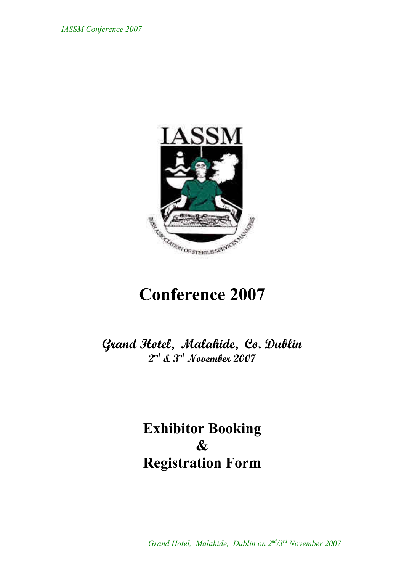

# **Conference 2007**

**Grand Hotel, Malahide, Co. Dublin 2 nd & 3rd November 2007**

> **Exhibitor Booking & Registration Form**

 *Grand Hotel, Malahide, Dublin on 2nd /3rd November 2007*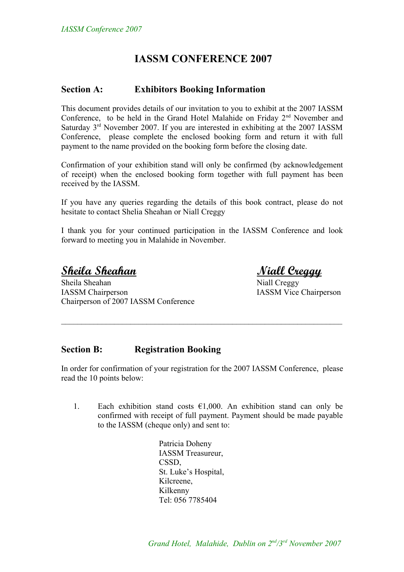### **IASSM CONFERENCE 2007**

#### **Section A: Exhibitors Booking Information**

This document provides details of our invitation to you to exhibit at the 2007 IASSM Conference, to be held in the Grand Hotel Malahide on Friday 2<sup>nd</sup> November and Saturday 3<sup>rd</sup> November 2007. If you are interested in exhibiting at the 2007 IASSM Conference, please complete the enclosed booking form and return it with full payment to the name provided on the booking form before the closing date.

Confirmation of your exhibition stand will only be confirmed (by acknowledgement of receipt) when the enclosed booking form together with full payment has been received by the IASSM.

If you have any queries regarding the details of this book contract, please do not hesitate to contact Shelia Sheahan or Niall Creggy

I thank you for your continued participation in the IASSM Conference and look forward to meeting you in Malahide in November.

**Sheila Sheahan Niall Creggy**

Sheila Sheahan Niall Creggy IASSM Chairperson IASSM Vice Chairperson Chairperson of 2007 IASSM Conference

#### **Section B: Registration Booking**

In order for confirmation of your registration for the 2007 IASSM Conference, please read the 10 points below:

 $\mathcal{L}_\text{max}$  , and the contribution of the contribution of the contribution of the contribution of the contribution of the contribution of the contribution of the contribution of the contribution of the contribution of t

1. Each exhibition stand costs  $\epsilon$ 1,000. An exhibition stand can only be confirmed with receipt of full payment. Payment should be made payable to the IASSM (cheque only) and sent to:

> Patricia Doheny IASSM Treasureur, CSSD, St. Luke's Hospital, Kilcreene, Kilkenny Tel: 056 7785404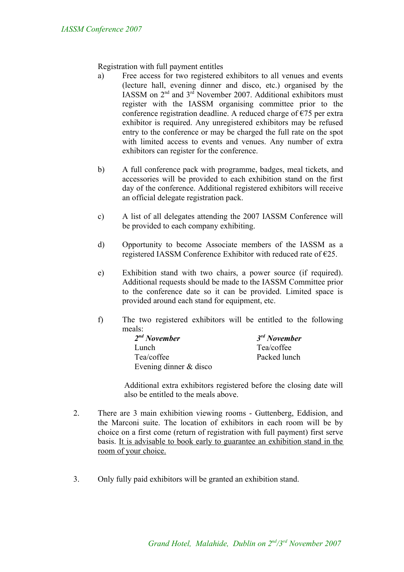Registration with full payment entitles

- a) Free access for two registered exhibitors to all venues and events (lecture hall, evening dinner and disco, etc.) organised by the IASSM on 2<sup>nd</sup> and 3<sup>rd</sup> November 2007. Additional exhibitors must register with the IASSM organising committee prior to the conference registration deadline. A reduced charge of  $\epsilon$ 75 per extra exhibitor is required. Any unregistered exhibitors may be refused entry to the conference or may be charged the full rate on the spot with limited access to events and venues. Any number of extra exhibitors can register for the conference.
- b) A full conference pack with programme, badges, meal tickets, and accessories will be provided to each exhibition stand on the first day of the conference. Additional registered exhibitors will receive an official delegate registration pack.
- c) A list of all delegates attending the 2007 IASSM Conference will be provided to each company exhibiting.
- d) Opportunity to become Associate members of the IASSM as a registered IASSM Conference Exhibitor with reduced rate of €25.
- e) Exhibition stand with two chairs, a power source (if required). Additional requests should be made to the IASSM Committee prior to the conference date so it can be provided. Limited space is provided around each stand for equipment, etc.
- f) The two registered exhibitors will be entitled to the following meals:

| $2nd$ November           | $3rd$ November |
|--------------------------|----------------|
| Lunch.                   | Tea/coffee     |
| Tea/coffee               | Packed lunch   |
| Evening dinner $&$ disco |                |

Additional extra exhibitors registered before the closing date will also be entitled to the meals above.

- 2. There are 3 main exhibition viewing rooms Guttenberg, Eddision, and the Marconi suite. The location of exhibitors in each room will be by choice on a first come (return of registration with full payment) first serve basis. It is advisable to book early to guarantee an exhibition stand in the room of your choice.
- 3. Only fully paid exhibitors will be granted an exhibition stand.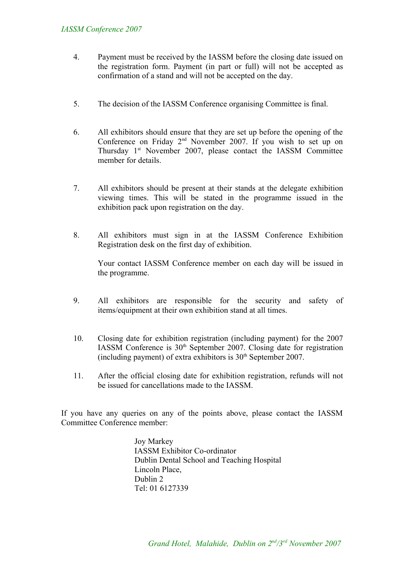#### *IASSM Conference 2007*

- 4. Payment must be received by the IASSM before the closing date issued on the registration form. Payment (in part or full) will not be accepted as confirmation of a stand and will not be accepted on the day.
- 5. The decision of the IASSM Conference organising Committee is final.
- 6. All exhibitors should ensure that they are set up before the opening of the Conference on Friday 2<sup>nd</sup> November 2007. If you wish to set up on Thursday 1<sup>st</sup> November 2007, please contact the IASSM Committee member for details.
- 7. All exhibitors should be present at their stands at the delegate exhibition viewing times. This will be stated in the programme issued in the exhibition pack upon registration on the day.
- 8. All exhibitors must sign in at the IASSM Conference Exhibition Registration desk on the first day of exhibition.

Your contact IASSM Conference member on each day will be issued in the programme.

- 9. All exhibitors are responsible for the security and safety of items/equipment at their own exhibition stand at all times.
- 10. Closing date for exhibition registration (including payment) for the 2007 IASSM Conference is  $30<sup>th</sup>$  September 2007. Closing date for registration (including payment) of extra exhibitors is  $30<sup>th</sup>$  September 2007.
- 11. After the official closing date for exhibition registration, refunds will not be issued for cancellations made to the IASSM.

If you have any queries on any of the points above, please contact the IASSM Committee Conference member:

> Joy Markey IASSM Exhibitor Co-ordinator Dublin Dental School and Teaching Hospital Lincoln Place, Dublin 2 Tel: 01 6127339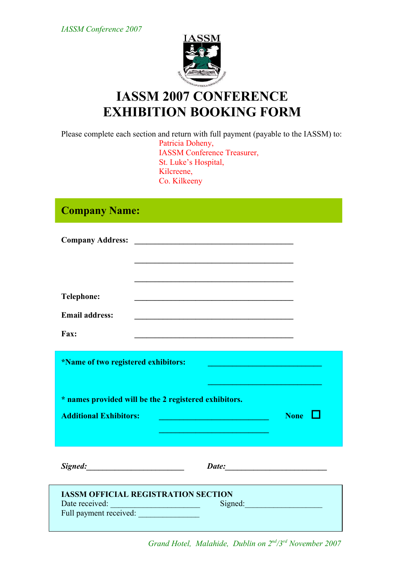*IASSM Conference 2007*



## **IASSM 2007 CONFERENCE EXHIBITION BOOKING FORM**

Please complete each section and return with full payment (payable to the IASSM) to: Patricia Doheny, IASSM Conference Treasurer, St. Luke's Hospital, Kilcreene, Co. Kilkeeny

## **Company Name:**

| <b>Company Address:</b> | $\label{eq:2} \begin{split} \mathcal{L}_{\text{max}}(\mathcal{L}_{\text{max}}) = \mathcal{L}_{\text{max}}(\mathcal{L}_{\text{max}}) \end{split}$ |  |
|-------------------------|--------------------------------------------------------------------------------------------------------------------------------------------------|--|
|                         |                                                                                                                                                  |  |
|                         |                                                                                                                                                  |  |
|                         |                                                                                                                                                  |  |
| <b>Telephone:</b>       |                                                                                                                                                  |  |
| <b>Email address:</b>   |                                                                                                                                                  |  |
| Fax:                    |                                                                                                                                                  |  |

| *Name of two registered exhibitors:                                                    |       |                     |
|----------------------------------------------------------------------------------------|-------|---------------------|
| * names provided will be the 2 registered exhibitors.<br><b>Additional Exhibitors:</b> |       | <b>None</b><br>n an |
| Signed:                                                                                | Date: |                     |

| <b>IASSM OFFICIAL REGISTRATION SECTION</b> |         |  |
|--------------------------------------------|---------|--|
| Date received:                             | Signed: |  |
| Full payment received:                     |         |  |
|                                            |         |  |

 *Grand Hotel, Malahide, Dublin on 2nd /3rd November 2007*